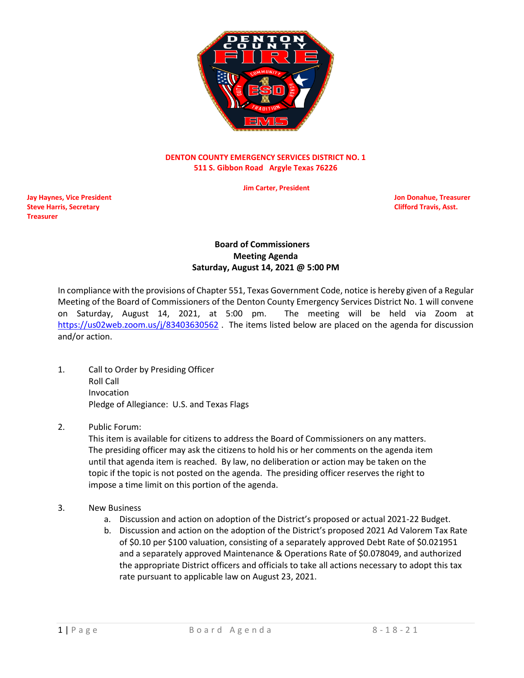

## **DENTON COUNTY EMERGENCY SERVICES DISTRICT NO. 1 511 S. Gibbon Road Argyle Texas 76226**

 **Jim Carter, President**

**Jay Haynes, Vice President Jon Donahue, Treasurer Steve Harris, Secretary Clifford Travis, Asst. Treasurer**

## **Board of Commissioners Meeting Agenda Saturday, August 14, 2021 @ 5:00 PM**

In compliance with the provisions of Chapter 551, Texas Government Code, notice is hereby given of a Regular Meeting of the Board of Commissioners of the Denton County Emergency Services District No. 1 will convene on Saturday, August 14, 2021, at 5:00 pm. The meeting will be held via Zoom at <https://us02web.zoom.us/j/83403630562>. The items listed below are placed on the agenda for discussion and/or action.

- 1. Call to Order by Presiding Officer Roll Call Invocation Pledge of Allegiance: U.S. and Texas Flags
- 2. Public Forum:

This item is available for citizens to address the Board of Commissioners on any matters. The presiding officer may ask the citizens to hold his or her comments on the agenda item until that agenda item is reached. By law, no deliberation or action may be taken on the topic if the topic is not posted on the agenda. The presiding officer reserves the right to impose a time limit on this portion of the agenda.

- 3. New Business
	- a. Discussion and action on adoption of the District's proposed or actual 2021-22 Budget.
	- b. Discussion and action on the adoption of the District's proposed 2021 Ad Valorem Tax Rate of \$0.10 per \$100 valuation, consisting of a separately approved Debt Rate of \$0.021951 and a separately approved Maintenance & Operations Rate of \$0.078049, and authorized the appropriate District officers and officials to take all actions necessary to adopt this tax rate pursuant to applicable law on August 23, 2021.